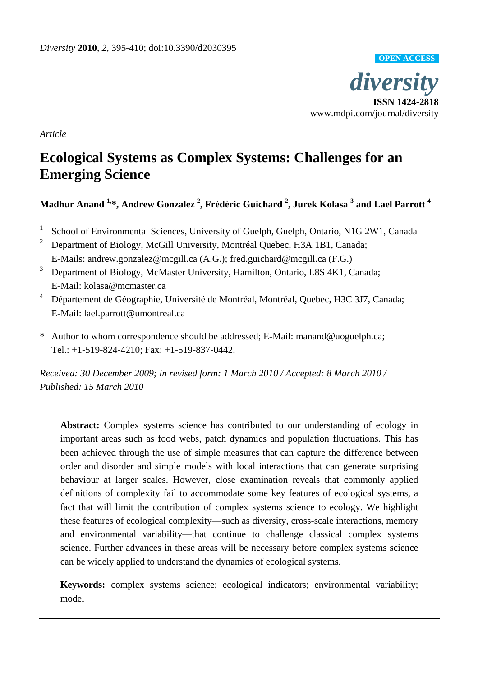

*Article* 

# **Ecological Systems as Complex Systems: Challenges for an Emerging Science**

**Madhur Anand 1,\*, Andrew Gonzalez 2 , Frédéric Guichard 2 , Jurek Kolasa <sup>3</sup> and Lael Parrott 4** 

- 1 School of Environmental Sciences, University of Guelph, Guelph, Ontario, N1G 2W1, Canada
- 2 Department of Biology, McGill University, Montréal Quebec, H3A 1B1, Canada; E-Mails: andrew.gonzalez@mcgill.ca (A.G.); fred.guichard@mcgill.ca (F.G.)
- 3 Department of Biology, McMaster University, Hamilton, Ontario, L8S 4K1, Canada; E-Mail: kolasa@mcmaster.ca
- <sup>4</sup> Département de Géographie, Université de Montréal, Montréal, Quebec, H3C 3J7, Canada; E-Mail: lael.parrott@umontreal.ca
- \* Author to whom correspondence should be addressed; E-Mail: manand@uoguelph.ca; Tel.: +1-519-824-4210; Fax: +1-519-837-0442.

*Received: 30 December 2009; in revised form: 1 March 2010 / Accepted: 8 March 2010 / Published: 15 March 2010* 

**Abstract:** Complex systems science has contributed to our understanding of ecology in important areas such as food webs, patch dynamics and population fluctuations. This has been achieved through the use of simple measures that can capture the difference between order and disorder and simple models with local interactions that can generate surprising behaviour at larger scales. However, close examination reveals that commonly applied definitions of complexity fail to accommodate some key features of ecological systems, a fact that will limit the contribution of complex systems science to ecology. We highlight these features of ecological complexity—such as diversity, cross-scale interactions, memory and environmental variability—that continue to challenge classical complex systems science. Further advances in these areas will be necessary before complex systems science can be widely applied to understand the dynamics of ecological systems.

**Keywords:** complex systems science; ecological indicators; environmental variability; model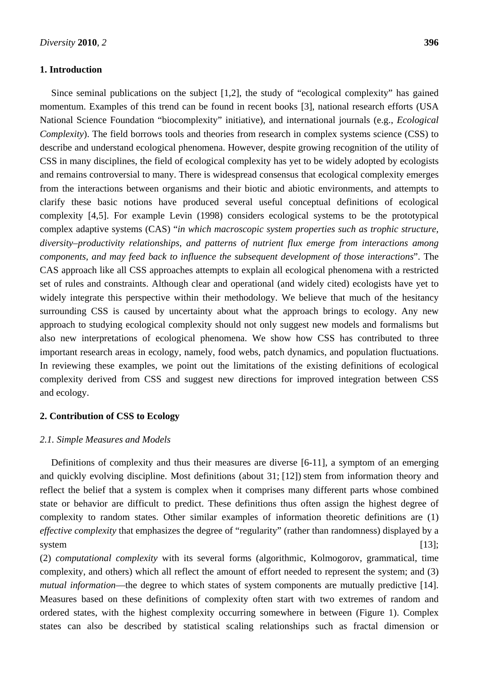# **1. Introduction**

Since seminal publications on the subject [1,2], the study of "ecological complexity" has gained momentum. Examples of this trend can be found in recent books [3], national research efforts (USA National Science Foundation "biocomplexity" initiative), and international journals (e.g., *Ecological Complexity*). The field borrows tools and theories from research in complex systems science (CSS) to describe and understand ecological phenomena. However, despite growing recognition of the utility of CSS in many disciplines, the field of ecological complexity has yet to be widely adopted by ecologists and remains controversial to many. There is widespread consensus that ecological complexity emerges from the interactions between organisms and their biotic and abiotic environments, and attempts to clarify these basic notions have produced several useful conceptual definitions of ecological complexity [4,5]. For example Levin (1998) considers ecological systems to be the prototypical complex adaptive systems (CAS) "*in which macroscopic system properties such as trophic structure, diversity–productivity relationships, and patterns of nutrient flux emerge from interactions among components, and may feed back to influence the subsequent development of those interactions*". The CAS approach like all CSS approaches attempts to explain all ecological phenomena with a restricted set of rules and constraints. Although clear and operational (and widely cited) ecologists have yet to widely integrate this perspective within their methodology. We believe that much of the hesitancy surrounding CSS is caused by uncertainty about what the approach brings to ecology. Any new approach to studying ecological complexity should not only suggest new models and formalisms but also new interpretations of ecological phenomena. We show how CSS has contributed to three important research areas in ecology, namely, food webs, patch dynamics, and population fluctuations. In reviewing these examples, we point out the limitations of the existing definitions of ecological complexity derived from CSS and suggest new directions for improved integration between CSS and ecology.

# **2. Contribution of CSS to Ecology**

# *2.1. Simple Measures and Models*

Definitions of complexity and thus their measures are diverse [6-11], a symptom of an emerging and quickly evolving discipline. Most definitions (about 31; [12]) stem from information theory and reflect the belief that a system is complex when it comprises many different parts whose combined state or behavior are difficult to predict. These definitions thus often assign the highest degree of complexity to random states. Other similar examples of information theoretic definitions are (1) *effective complexity* that emphasizes the degree of "regularity" (rather than randomness) displayed by a system [13];

(2) *computational complexity* with its several forms (algorithmic, Kolmogorov, grammatical, time complexity, and others) which all reflect the amount of effort needed to represent the system; and (3) *mutual information*—the degree to which states of system components are mutually predictive [14]. Measures based on these definitions of complexity often start with two extremes of random and ordered states, with the highest complexity occurring somewhere in between (Figure 1). Complex states can also be described by statistical scaling relationships such as fractal dimension or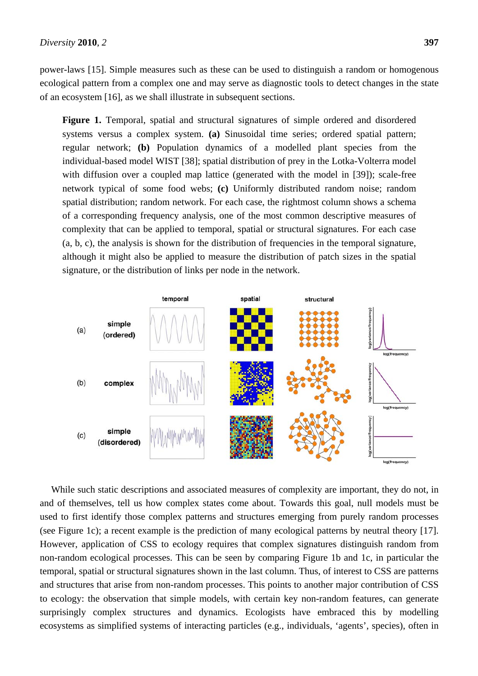power-laws [15]. Simple measures such as these can be used to distinguish a random or homogenous ecological pattern from a complex one and may serve as diagnostic tools to detect changes in the state of an ecosystem [16], as we shall illustrate in subsequent sections.

Figure 1. Temporal, spatial and structural signatures of simple ordered and disordered systems versus a complex system. **(a)** Sinusoidal time series; ordered spatial pattern; regular network; **(b)** Population dynamics of a modelled plant species from the individual-based model WIST [38]; spatial distribution of prey in the Lotka-Volterra model with diffusion over a coupled map lattice (generated with the model in [39]); scale-free network typical of some food webs; **(c)** Uniformly distributed random noise; random spatial distribution; random network. For each case, the rightmost column shows a schema of a corresponding frequency analysis, one of the most common descriptive measures of complexity that can be applied to temporal, spatial or structural signatures. For each case (a, b, c), the analysis is shown for the distribution of frequencies in the temporal signature, although it might also be applied to measure the distribution of patch sizes in the spatial signature, or the distribution of links per node in the network.



While such static descriptions and associated measures of complexity are important, they do not, in and of themselves, tell us how complex states come about. Towards this goal, null models must be used to first identify those complex patterns and structures emerging from purely random processes (see Figure 1c); a recent example is the prediction of many ecological patterns by neutral theory [17]. However, application of CSS to ecology requires that complex signatures distinguish random from non-random ecological processes. This can be seen by comparing Figure 1b and 1c, in particular the temporal, spatial or structural signatures shown in the last column. Thus, of interest to CSS are patterns and structures that arise from non-random processes. This points to another major contribution of CSS to ecology: the observation that simple models, with certain key non-random features, can generate surprisingly complex structures and dynamics. Ecologists have embraced this by modelling ecosystems as simplified systems of interacting particles (e.g., individuals, 'agents', species), often in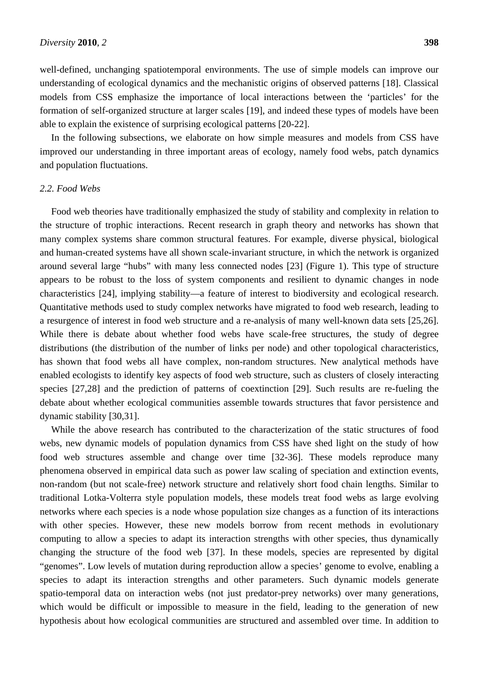well-defined, unchanging spatiotemporal environments. The use of simple models can improve our understanding of ecological dynamics and the mechanistic origins of observed patterns [18]. Classical models from CSS emphasize the importance of local interactions between the 'particles' for the formation of self-organized structure at larger scales [19], and indeed these types of models have been able to explain the existence of surprising ecological patterns [20-22].

In the following subsections, we elaborate on how simple measures and models from CSS have improved our understanding in three important areas of ecology, namely food webs, patch dynamics and population fluctuations.

#### *2.2. Food Webs*

Food web theories have traditionally emphasized the study of stability and complexity in relation to the structure of trophic interactions. Recent research in graph theory and networks has shown that many complex systems share common structural features. For example, diverse physical, biological and human-created systems have all shown scale-invariant structure, in which the network is organized around several large "hubs" with many less connected nodes [23] (Figure 1). This type of structure appears to be robust to the loss of system components and resilient to dynamic changes in node characteristics [24], implying stability—a feature of interest to biodiversity and ecological research. Quantitative methods used to study complex networks have migrated to food web research, leading to a resurgence of interest in food web structure and a re-analysis of many well-known data sets [25,26]. While there is debate about whether food webs have scale-free structures, the study of degree distributions (the distribution of the number of links per node) and other topological characteristics, has shown that food webs all have complex, non-random structures. New analytical methods have enabled ecologists to identify key aspects of food web structure, such as clusters of closely interacting species [27,28] and the prediction of patterns of coextinction [29]. Such results are re-fueling the debate about whether ecological communities assemble towards structures that favor persistence and dynamic stability [30,31].

While the above research has contributed to the characterization of the static structures of food webs, new dynamic models of population dynamics from CSS have shed light on the study of how food web structures assemble and change over time [32-36]. These models reproduce many phenomena observed in empirical data such as power law scaling of speciation and extinction events, non-random (but not scale-free) network structure and relatively short food chain lengths. Similar to traditional Lotka-Volterra style population models, these models treat food webs as large evolving networks where each species is a node whose population size changes as a function of its interactions with other species. However, these new models borrow from recent methods in evolutionary computing to allow a species to adapt its interaction strengths with other species, thus dynamically changing the structure of the food web [37]. In these models, species are represented by digital "genomes". Low levels of mutation during reproduction allow a species' genome to evolve, enabling a species to adapt its interaction strengths and other parameters. Such dynamic models generate spatio-temporal data on interaction webs (not just predator-prey networks) over many generations, which would be difficult or impossible to measure in the field, leading to the generation of new hypothesis about how ecological communities are structured and assembled over time. In addition to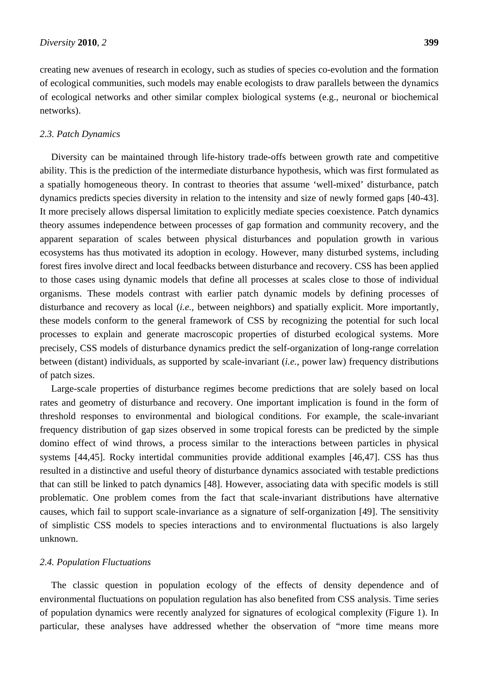creating new avenues of research in ecology, such as studies of species co-evolution and the formation of ecological communities, such models may enable ecologists to draw parallels between the dynamics of ecological networks and other similar complex biological systems (e.g., neuronal or biochemical networks).

#### *2.3. Patch Dynamics*

Diversity can be maintained through life-history trade-offs between growth rate and competitive ability. This is the prediction of the intermediate disturbance hypothesis, which was first formulated as a spatially homogeneous theory. In contrast to theories that assume 'well-mixed' disturbance, patch dynamics predicts species diversity in relation to the intensity and size of newly formed gaps [40-43]. It more precisely allows dispersal limitation to explicitly mediate species coexistence. Patch dynamics theory assumes independence between processes of gap formation and community recovery, and the apparent separation of scales between physical disturbances and population growth in various ecosystems has thus motivated its adoption in ecology. However, many disturbed systems, including forest fires involve direct and local feedbacks between disturbance and recovery. CSS has been applied to those cases using dynamic models that define all processes at scales close to those of individual organisms. These models contrast with earlier patch dynamic models by defining processes of disturbance and recovery as local (*i.e.,* between neighbors) and spatially explicit. More importantly, these models conform to the general framework of CSS by recognizing the potential for such local processes to explain and generate macroscopic properties of disturbed ecological systems. More precisely, CSS models of disturbance dynamics predict the self-organization of long-range correlation between (distant) individuals, as supported by scale-invariant (*i.e.*, power law) frequency distributions of patch sizes.

Large-scale properties of disturbance regimes become predictions that are solely based on local rates and geometry of disturbance and recovery. One important implication is found in the form of threshold responses to environmental and biological conditions. For example, the scale-invariant frequency distribution of gap sizes observed in some tropical forests can be predicted by the simple domino effect of wind throws, a process similar to the interactions between particles in physical systems [44,45]. Rocky intertidal communities provide additional examples [46,47]. CSS has thus resulted in a distinctive and useful theory of disturbance dynamics associated with testable predictions that can still be linked to patch dynamics [48]. However, associating data with specific models is still problematic. One problem comes from the fact that scale-invariant distributions have alternative causes, which fail to support scale-invariance as a signature of self-organization [49]. The sensitivity of simplistic CSS models to species interactions and to environmental fluctuations is also largely unknown.

#### *2.4. Population Fluctuations*

The classic question in population ecology of the effects of density dependence and of environmental fluctuations on population regulation has also benefited from CSS analysis. Time series of population dynamics were recently analyzed for signatures of ecological complexity (Figure 1). In particular, these analyses have addressed whether the observation of "more time means more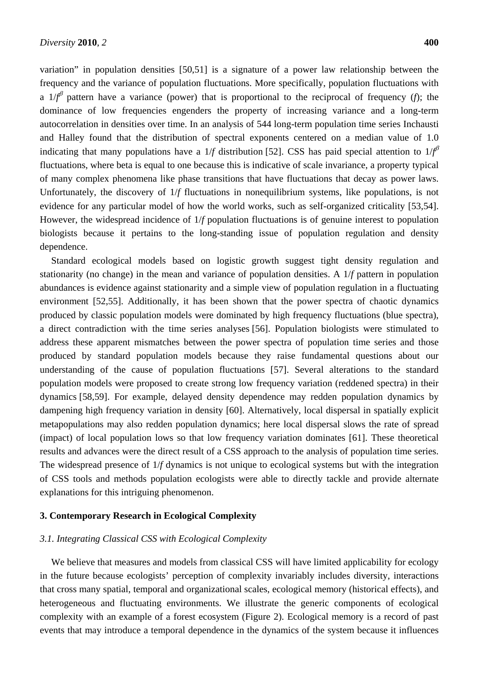variation" in population densities [50,51] is a signature of a power law relationship between the frequency and the variance of population fluctuations. More specifically, population fluctuations with a  $1/f^{\beta}$  pattern have a variance (power) that is proportional to the reciprocal of frequency (*f*); the dominance of low frequencies engenders the property of increasing variance and a long-term autocorrelation in densities over time. In an analysis of 544 long-term population time series Inchausti and Halley found that the distribution of spectral exponents centered on a median value of 1.0 indicating that many populations have a 1/f distribution [52]. CSS has paid special attention to  $1/f^{\beta}$ fluctuations, where beta is equal to one because this is indicative of scale invariance, a property typical of many complex phenomena like phase transitions that have fluctuations that decay as power laws. Unfortunately, the discovery of 1/*f* fluctuations in nonequilibrium systems, like populations, is not evidence for any particular model of how the world works, such as self-organized criticality [53,54]. However, the widespread incidence of 1/*f* population fluctuations is of genuine interest to population biologists because it pertains to the long-standing issue of population regulation and density dependence.

Standard ecological models based on logistic growth suggest tight density regulation and stationarity (no change) in the mean and variance of population densities. A 1/*f* pattern in population abundances is evidence against stationarity and a simple view of population regulation in a fluctuating environment [52,55]. Additionally, it has been shown that the power spectra of chaotic dynamics produced by classic population models were dominated by high frequency fluctuations (blue spectra), a direct contradiction with the time series analyses [56]. Population biologists were stimulated to address these apparent mismatches between the power spectra of population time series and those produced by standard population models because they raise fundamental questions about our understanding of the cause of population fluctuations [57]. Several alterations to the standard population models were proposed to create strong low frequency variation (reddened spectra) in their dynamics [58,59]. For example, delayed density dependence may redden population dynamics by dampening high frequency variation in density [60]. Alternatively, local dispersal in spatially explicit metapopulations may also redden population dynamics; here local dispersal slows the rate of spread (impact) of local population lows so that low frequency variation dominates [61]. These theoretical results and advances were the direct result of a CSS approach to the analysis of population time series. The widespread presence of 1/*f* dynamics is not unique to ecological systems but with the integration of CSS tools and methods population ecologists were able to directly tackle and provide alternate explanations for this intriguing phenomenon.

### **3. Contemporary Research in Ecological Complexity**

#### *3.1. Integrating Classical CSS with Ecological Complexity*

We believe that measures and models from classical CSS will have limited applicability for ecology in the future because ecologists' perception of complexity invariably includes diversity, interactions that cross many spatial, temporal and organizational scales, ecological memory (historical effects), and heterogeneous and fluctuating environments. We illustrate the generic components of ecological complexity with an example of a forest ecosystem (Figure 2). Ecological memory is a record of past events that may introduce a temporal dependence in the dynamics of the system because it influences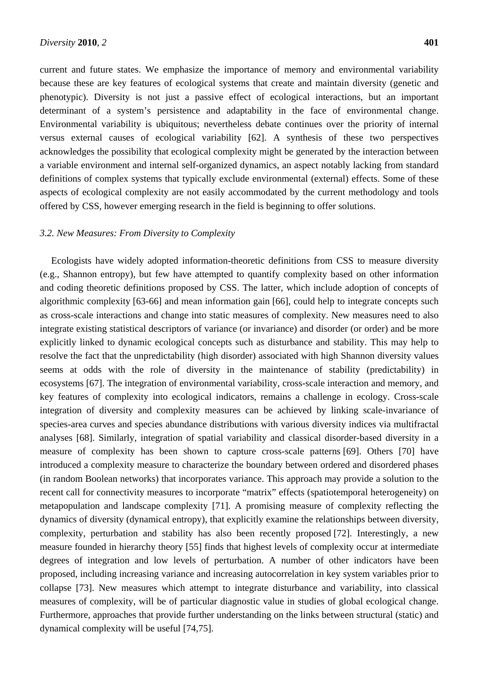current and future states. We emphasize the importance of memory and environmental variability because these are key features of ecological systems that create and maintain diversity (genetic and phenotypic). Diversity is not just a passive effect of ecological interactions, but an important determinant of a system's persistence and adaptability in the face of environmental change. Environmental variability is ubiquitous; nevertheless debate continues over the priority of internal versus external causes of ecological variability [62]. A synthesis of these two perspectives acknowledges the possibility that ecological complexity might be generated by the interaction between a variable environment and internal self-organized dynamics, an aspect notably lacking from standard definitions of complex systems that typically exclude environmental (external) effects. Some of these aspects of ecological complexity are not easily accommodated by the current methodology and tools offered by CSS, however emerging research in the field is beginning to offer solutions.

# *3.2. New Measures: From Diversity to Complexity*

Ecologists have widely adopted information-theoretic definitions from CSS to measure diversity (e.g., Shannon entropy), but few have attempted to quantify complexity based on other information and coding theoretic definitions proposed by CSS. The latter, which include adoption of concepts of algorithmic complexity [63-66] and mean information gain [66], could help to integrate concepts such as cross-scale interactions and change into static measures of complexity. New measures need to also integrate existing statistical descriptors of variance (or invariance) and disorder (or order) and be more explicitly linked to dynamic ecological concepts such as disturbance and stability. This may help to resolve the fact that the unpredictability (high disorder) associated with high Shannon diversity values seems at odds with the role of diversity in the maintenance of stability (predictability) in ecosystems [67]. The integration of environmental variability, cross-scale interaction and memory, and key features of complexity into ecological indicators, remains a challenge in ecology. Cross-scale integration of diversity and complexity measures can be achieved by linking scale-invariance of species-area curves and species abundance distributions with various diversity indices via multifractal analyses [68]. Similarly, integration of spatial variability and classical disorder-based diversity in a measure of complexity has been shown to capture cross-scale patterns [69]. Others [70] have introduced a complexity measure to characterize the boundary between ordered and disordered phases (in random Boolean networks) that incorporates variance. This approach may provide a solution to the recent call for connectivity measures to incorporate "matrix" effects (spatiotemporal heterogeneity) on metapopulation and landscape complexity [71]. A promising measure of complexity reflecting the dynamics of diversity (dynamical entropy), that explicitly examine the relationships between diversity, complexity, perturbation and stability has also been recently proposed [72]. Interestingly, a new measure founded in hierarchy theory [55] finds that highest levels of complexity occur at intermediate degrees of integration and low levels of perturbation. A number of other indicators have been proposed, including increasing variance and increasing autocorrelation in key system variables prior to collapse [73]. New measures which attempt to integrate disturbance and variability, into classical measures of complexity, will be of particular diagnostic value in studies of global ecological change. Furthermore, approaches that provide further understanding on the links between structural (static) and dynamical complexity will be useful [74,75].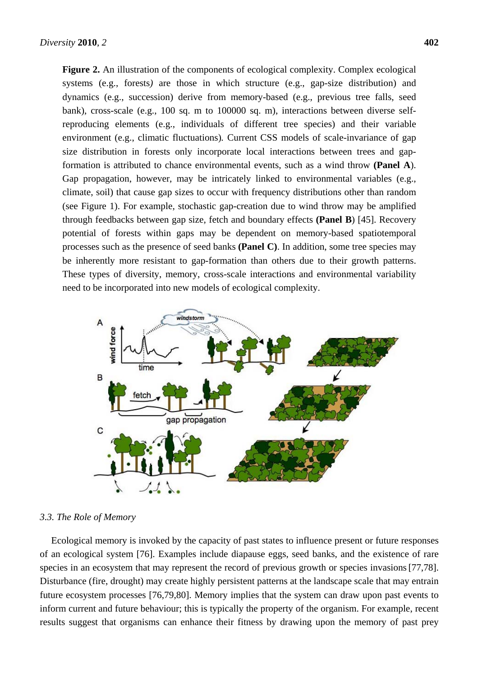**Figure 2.** An illustration of the components of ecological complexity. Complex ecological systems (e.g., forests*)* are those in which structure (e.g., gap-size distribution) and dynamics (e.g., succession) derive from memory-based (e.g., previous tree falls, seed bank), cross-scale (e.g., 100 sq. m to 100000 sq. m), interactions between diverse selfreproducing elements (e.g., individuals of different tree species) and their variable environment (e.g., climatic fluctuations)*.* Current CSS models of scale-invariance of gap size distribution in forests only incorporate local interactions between trees and gapformation is attributed to chance environmental events, such as a wind throw **(Panel A**). Gap propagation, however, may be intricately linked to environmental variables (e.g., climate, soil) that cause gap sizes to occur with frequency distributions other than random (see Figure 1). For example, stochastic gap-creation due to wind throw may be amplified through feedbacks between gap size, fetch and boundary effects **(Panel B**) [45]. Recovery potential of forests within gaps may be dependent on memory-based spatiotemporal processes such as the presence of seed banks **(Panel C)**. In addition, some tree species may be inherently more resistant to gap-formation than others due to their growth patterns. These types of diversity, memory, cross-scale interactions and environmental variability need to be incorporated into new models of ecological complexity.



#### *3.3. The Role of Memory*

Ecological memory is invoked by the capacity of past states to influence present or future responses of an ecological system [76]. Examples include diapause eggs, seed banks, and the existence of rare species in an ecosystem that may represent the record of previous growth or species invasions [77,78]. Disturbance (fire, drought) may create highly persistent patterns at the landscape scale that may entrain future ecosystem processes [76,79,80]. Memory implies that the system can draw upon past events to inform current and future behaviour; this is typically the property of the organism. For example, recent results suggest that organisms can enhance their fitness by drawing upon the memory of past prey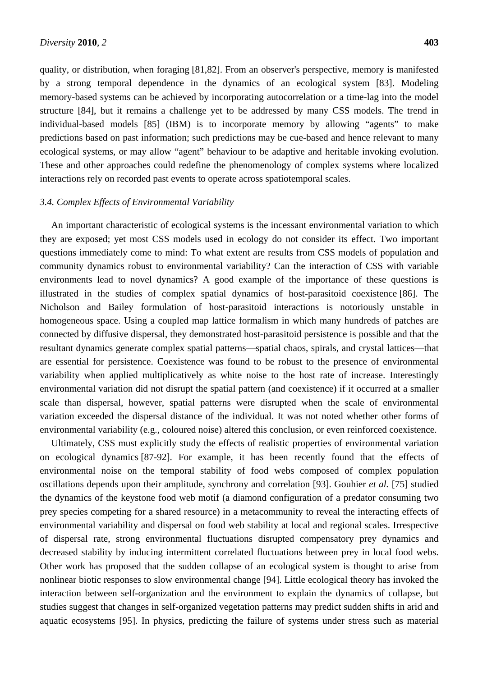quality, or distribution, when foraging [81,82]. From an observer's perspective, memory is manifested by a strong temporal dependence in the dynamics of an ecological system [83]. Modeling memory-based systems can be achieved by incorporating autocorrelation or a time-lag into the model structure [84], but it remains a challenge yet to be addressed by many CSS models. The trend in individual-based models [85] (IBM) is to incorporate memory by allowing "agents" to make predictions based on past information; such predictions may be cue-based and hence relevant to many ecological systems, or may allow "agent" behaviour to be adaptive and heritable invoking evolution. These and other approaches could redefine the phenomenology of complex systems where localized interactions rely on recorded past events to operate across spatiotemporal scales.

### *3.4. Complex Effects of Environmental Variability*

An important characteristic of ecological systems is the incessant environmental variation to which they are exposed; yet most CSS models used in ecology do not consider its effect. Two important questions immediately come to mind: To what extent are results from CSS models of population and community dynamics robust to environmental variability? Can the interaction of CSS with variable environments lead to novel dynamics? A good example of the importance of these questions is illustrated in the studies of complex spatial dynamics of host-parasitoid coexistence [86]. The Nicholson and Bailey formulation of host-parasitoid interactions is notoriously unstable in homogeneous space. Using a coupled map lattice formalism in which many hundreds of patches are connected by diffusive dispersal, they demonstrated host-parasitoid persistence is possible and that the resultant dynamics generate complex spatial patterns—spatial chaos, spirals, and crystal lattices—that are essential for persistence. Coexistence was found to be robust to the presence of environmental variability when applied multiplicatively as white noise to the host rate of increase. Interestingly environmental variation did not disrupt the spatial pattern (and coexistence) if it occurred at a smaller scale than dispersal, however, spatial patterns were disrupted when the scale of environmental variation exceeded the dispersal distance of the individual. It was not noted whether other forms of environmental variability (e.g., coloured noise) altered this conclusion, or even reinforced coexistence.

Ultimately, CSS must explicitly study the effects of realistic properties of environmental variation on ecological dynamics [87-92]. For example, it has been recently found that the effects of environmental noise on the temporal stability of food webs composed of complex population oscillations depends upon their amplitude, synchrony and correlation [93]. Gouhier *et al.* [75] studied the dynamics of the keystone food web motif (a diamond configuration of a predator consuming two prey species competing for a shared resource) in a metacommunity to reveal the interacting effects of environmental variability and dispersal on food web stability at local and regional scales. Irrespective of dispersal rate, strong environmental fluctuations disrupted compensatory prey dynamics and decreased stability by inducing intermittent correlated fluctuations between prey in local food webs. Other work has proposed that the sudden collapse of an ecological system is thought to arise from nonlinear biotic responses to slow environmental change [94]. Little ecological theory has invoked the interaction between self-organization and the environment to explain the dynamics of collapse, but studies suggest that changes in self-organized vegetation patterns may predict sudden shifts in arid and aquatic ecosystems [95]. In physics, predicting the failure of systems under stress such as material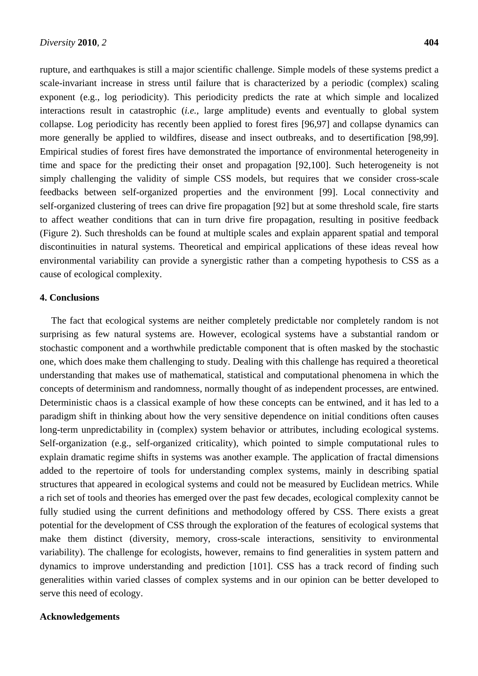rupture, and earthquakes is still a major scientific challenge. Simple models of these systems predict a scale-invariant increase in stress until failure that is characterized by a periodic (complex) scaling exponent (e.g., log periodicity). This periodicity predicts the rate at which simple and localized interactions result in catastrophic (*i.e.,* large amplitude) events and eventually to global system collapse. Log periodicity has recently been applied to forest fires [96,97] and collapse dynamics can more generally be applied to wildfires, disease and insect outbreaks, and to desertification [98,99]. Empirical studies of forest fires have demonstrated the importance of environmental heterogeneity in time and space for the predicting their onset and propagation [92,100]. Such heterogeneity is not simply challenging the validity of simple CSS models, but requires that we consider cross-scale feedbacks between self-organized properties and the environment [99]. Local connectivity and self-organized clustering of trees can drive fire propagation [92] but at some threshold scale, fire starts to affect weather conditions that can in turn drive fire propagation, resulting in positive feedback (Figure 2). Such thresholds can be found at multiple scales and explain apparent spatial and temporal discontinuities in natural systems. Theoretical and empirical applications of these ideas reveal how environmental variability can provide a synergistic rather than a competing hypothesis to CSS as a cause of ecological complexity.

# **4. Conclusions**

The fact that ecological systems are neither completely predictable nor completely random is not surprising as few natural systems are. However, ecological systems have a substantial random or stochastic component and a worthwhile predictable component that is often masked by the stochastic one, which does make them challenging to study. Dealing with this challenge has required a theoretical understanding that makes use of mathematical, statistical and computational phenomena in which the concepts of determinism and randomness, normally thought of as independent processes, are entwined. Deterministic chaos is a classical example of how these concepts can be entwined, and it has led to a paradigm shift in thinking about how the very sensitive dependence on initial conditions often causes long-term unpredictability in (complex) system behavior or attributes, including ecological systems. Self-organization (e.g., self-organized criticality), which pointed to simple computational rules to explain dramatic regime shifts in systems was another example. The application of fractal dimensions added to the repertoire of tools for understanding complex systems, mainly in describing spatial structures that appeared in ecological systems and could not be measured by Euclidean metrics. While a rich set of tools and theories has emerged over the past few decades, ecological complexity cannot be fully studied using the current definitions and methodology offered by CSS. There exists a great potential for the development of CSS through the exploration of the features of ecological systems that make them distinct (diversity, memory, cross-scale interactions, sensitivity to environmental variability). The challenge for ecologists, however, remains to find generalities in system pattern and dynamics to improve understanding and prediction [101]. CSS has a track record of finding such generalities within varied classes of complex systems and in our opinion can be better developed to serve this need of ecology.

# **Acknowledgements**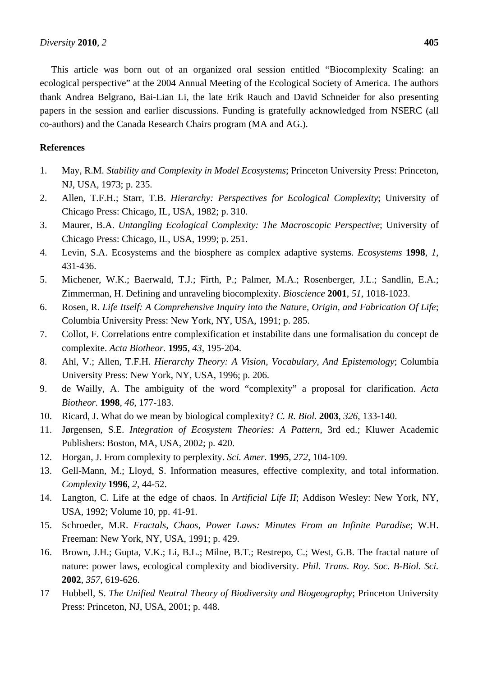This article was born out of an organized oral session entitled "Biocomplexity Scaling: an ecological perspective" at the 2004 Annual Meeting of the Ecological Society of America. The authors thank Andrea Belgrano, Bai-Lian Li, the late Erik Rauch and David Schneider for also presenting papers in the session and earlier discussions. Funding is gratefully acknowledged from NSERC (all co-authors) and the Canada Research Chairs program (MA and AG.).

# **References**

- 1. May, R.M. *Stability and Complexity in Model Ecosystems*; Princeton University Press: Princeton, NJ, USA, 1973; p. 235.
- 2. Allen, T.F.H.; Starr, T.B. *Hierarchy: Perspectives for Ecological Complexity*; University of Chicago Press: Chicago, IL, USA, 1982; p. 310.
- 3. Maurer, B.A. *Untangling Ecological Complexity: The Macroscopic Perspective*; University of Chicago Press: Chicago, IL, USA, 1999; p. 251.
- 4. Levin, S.A. Ecosystems and the biosphere as complex adaptive systems. *Ecosystems* **1998**, *1*, 431-436.
- 5. Michener, W.K.; Baerwald, T.J.; Firth, P.; Palmer, M.A.; Rosenberger, J.L.; Sandlin, E.A.; Zimmerman, H. Defining and unraveling biocomplexity. *Bioscience* **2001**, *51*, 1018-1023.
- 6. Rosen, R. *Life Itself: A Comprehensive Inquiry into the Nature, Origin, and Fabrication Of Life*; Columbia University Press: New York, NY, USA, 1991; p. 285.
- 7. Collot, F. Correlations entre complexification et instabilite dans une formalisation du concept de complexite. *Acta Biotheor.* **1995**, *43*, 195-204.
- 8. Ahl, V.; Allen, T.F.H. *Hierarchy Theory: A Vision, Vocabulary, And Epistemology*; Columbia University Press: New York, NY, USA, 1996; p. 206.
- 9. de Wailly, A. The ambiguity of the word "complexity" a proposal for clarification. *Acta Biotheor.* **1998**, *46*, 177-183.
- 10. Ricard, J. What do we mean by biological complexity? *C. R. Biol.* **2003**, *326*, 133-140.
- 11. Jørgensen, S.E. *Integration of Ecosystem Theories: A Pattern*, 3rd ed.; Kluwer Academic Publishers: Boston, MA, USA, 2002; p. 420.
- 12. Horgan, J. From complexity to perplexity. *Sci. Amer.* **1995**, *272*, 104-109.
- 13. Gell-Mann, M.; Lloyd, S. Information measures, effective complexity, and total information. *Complexity* **1996**, *2*, 44-52.
- 14. Langton, C. Life at the edge of chaos. In *Artificial Life II*; Addison Wesley: New York, NY, USA, 1992; Volume 10, pp. 41-91.
- 15. Schroeder, M.R. *Fractals, Chaos, Power Laws: Minutes From an Infinite Paradise*; W.H. Freeman: New York, NY, USA, 1991; p. 429.
- 16. Brown, J.H.; Gupta, V.K.; Li, B.L.; Milne, B.T.; Restrepo, C.; West, G.B. The fractal nature of nature: power laws, ecological complexity and biodiversity. *Phil. Trans. Roy. Soc. B-Biol. Sci.*  **2002**, *357*, 619-626.
- 17 Hubbell, S. *The Unified Neutral Theory of Biodiversity and Biogeography*; Princeton University Press: Princeton, NJ, USA, 2001; p. 448.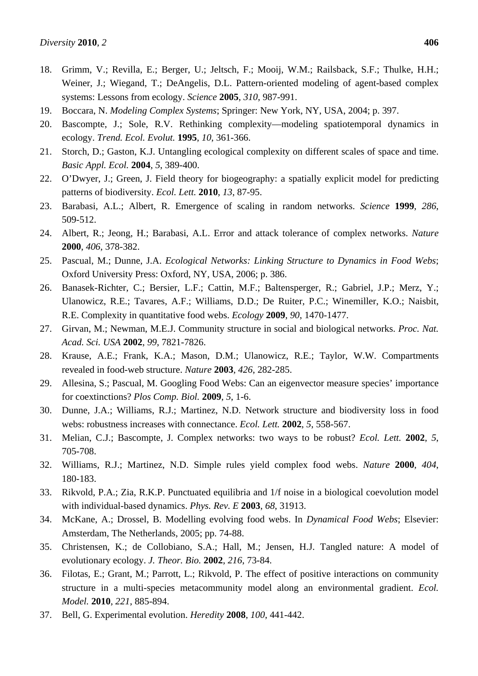- 18. Grimm, V.; Revilla, E.; Berger, U.; Jeltsch, F.; Mooij, W.M.; Railsback, S.F.; Thulke, H.H.; Weiner, J.; Wiegand, T.; DeAngelis, D.L. Pattern-oriented modeling of agent-based complex systems: Lessons from ecology. *Science* **2005**, *310*, 987-991.
- 19. Boccara, N. *Modeling Complex Systems*; Springer: New York, NY, USA, 2004; p. 397.
- 20. Bascompte, J.; Sole, R.V. Rethinking complexity—modeling spatiotemporal dynamics in ecology. *Trend. Ecol. Evolut.* **1995**, *10*, 361-366.
- 21. Storch, D.; Gaston, K.J. Untangling ecological complexity on different scales of space and time. *Basic Appl. Ecol.* **2004**, *5*, 389-400.
- 22. O'Dwyer, J.; Green, J. Field theory for biogeography: a spatially explicit model for predicting patterns of biodiversity. *Ecol. Lett.* **2010**, *13*, 87-95.
- 23. Barabasi, A.L.; Albert, R. Emergence of scaling in random networks. *Science* **1999**, *286*, 509-512.
- 24. Albert, R.; Jeong, H.; Barabasi, A.L. Error and attack tolerance of complex networks. *Nature*  **2000**, *406*, 378-382.
- 25. Pascual, M.; Dunne, J.A. *Ecological Networks: Linking Structure to Dynamics in Food Webs*; Oxford University Press: Oxford, NY, USA, 2006; p. 386.
- 26. Banasek-Richter, C.; Bersier, L.F.; Cattin, M.F.; Baltensperger, R.; Gabriel, J.P.; Merz, Y.; Ulanowicz, R.E.; Tavares, A.F.; Williams, D.D.; De Ruiter, P.C.; Winemiller, K.O.; Naisbit, R.E. Complexity in quantitative food webs. *Ecology* **2009**, *90*, 1470-1477.
- 27. Girvan, M.; Newman, M.E.J. Community structure in social and biological networks. *Proc. Nat. Acad. Sci. USA* **2002**, *99*, 7821-7826.
- 28. Krause, A.E.; Frank, K.A.; Mason, D.M.; Ulanowicz, R.E.; Taylor, W.W. Compartments revealed in food-web structure. *Nature* **2003**, *426*, 282-285.
- 29. Allesina, S.; Pascual, M. Googling Food Webs: Can an eigenvector measure species' importance for coextinctions? *Plos Comp. Biol.* **2009**, *5*, 1-6.
- 30. Dunne, J.A.; Williams, R.J.; Martinez, N.D. Network structure and biodiversity loss in food webs: robustness increases with connectance. *Ecol. Lett.* **2002**, *5*, 558-567.
- 31. Melian, C.J.; Bascompte, J. Complex networks: two ways to be robust? *Ecol. Lett.* **2002**, *5*, 705-708.
- 32. Williams, R.J.; Martinez, N.D. Simple rules yield complex food webs. *Nature* **2000**, *404*, 180-183.
- 33. Rikvold, P.A.; Zia, R.K.P. Punctuated equilibria and 1/f noise in a biological coevolution model with individual-based dynamics. *Phys. Rev. E* **2003**, *68*, 31913.
- 34. McKane, A.; Drossel, B. Modelling evolving food webs. In *Dynamical Food Webs*; Elsevier: Amsterdam, The Netherlands, 2005; pp. 74-88.
- 35. Christensen, K.; de Collobiano, S.A.; Hall, M.; Jensen, H.J. Tangled nature: A model of evolutionary ecology. *J. Theor. Bio.* **2002**, *216*, 73-84.
- 36. Filotas, E.; Grant, M.; Parrott, L.; Rikvold, P. The effect of positive interactions on community structure in a multi-species metacommunity model along an environmental gradient. *Ecol. Model.* **2010**, *221*, 885-894.
- 37. Bell, G. Experimental evolution. *Heredity* **2008**, *100*, 441-442.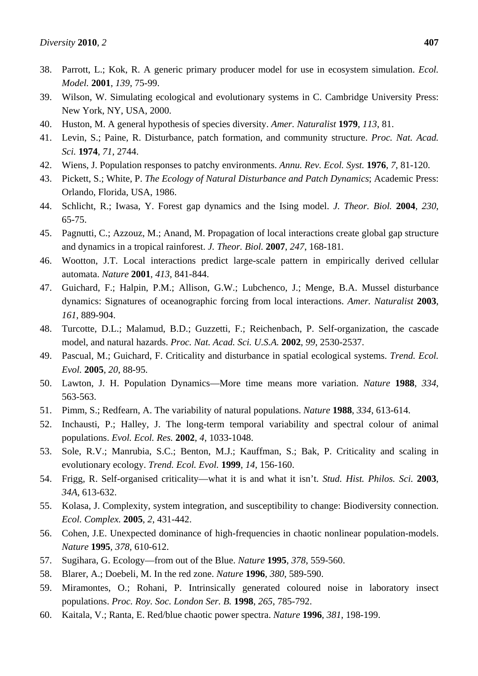- 38. Parrott, L.; Kok, R. A generic primary producer model for use in ecosystem simulation. *Ecol. Model.* **2001**, *139*, 75-99.
- 39. Wilson, W. Simulating ecological and evolutionary systems in C. Cambridge University Press: New York, NY, USA, 2000.
- 40. Huston, M. A general hypothesis of species diversity. *Amer. Naturalist* **1979**, *113*, 81.
- 41. Levin, S.; Paine, R. Disturbance, patch formation, and community structure. *Proc. Nat. Acad. Sci.* **1974**, *71*, 2744.
- 42. Wiens, J. Population responses to patchy environments. *Annu. Rev. Ecol. Syst.* **1976**, *7*, 81-120.
- 43. Pickett, S.; White, P. *The Ecology of Natural Disturbance and Patch Dynamics*; Academic Press: Orlando, Florida, USA, 1986.
- 44. Schlicht, R.; Iwasa, Y. Forest gap dynamics and the Ising model. *J. Theor. Biol.* **2004**, *230*, 65-75.
- 45. Pagnutti, C.; Azzouz, M.; Anand, M. Propagation of local interactions create global gap structure and dynamics in a tropical rainforest. *J. Theor. Biol.* **2007**, *247*, 168-181.
- 46. Wootton, J.T. Local interactions predict large-scale pattern in empirically derived cellular automata. *Nature* **2001**, *413*, 841-844.
- 47. Guichard, F.; Halpin, P.M.; Allison, G.W.; Lubchenco, J.; Menge, B.A. Mussel disturbance dynamics: Signatures of oceanographic forcing from local interactions. *Amer. Naturalist* **2003**, *161*, 889-904.
- 48. Turcotte, D.L.; Malamud, B.D.; Guzzetti, F.; Reichenbach, P. Self-organization, the cascade model, and natural hazards. *Proc. Nat. Acad. Sci. U.S.A.* **2002**, *99*, 2530-2537.
- 49. Pascual, M.; Guichard, F. Criticality and disturbance in spatial ecological systems. *Trend. Ecol. Evol.* **2005**, *20*, 88-95.
- 50. Lawton, J. H. Population Dynamics—More time means more variation. *Nature* **1988**, *334*, 563-563.
- 51. Pimm, S.; Redfearn, A. The variability of natural populations. *Nature* **1988**, *334*, 613-614.
- 52. Inchausti, P.; Halley, J. The long-term temporal variability and spectral colour of animal populations. *Evol. Ecol. Res.* **2002**, *4*, 1033-1048.
- 53. Sole, R.V.; Manrubia, S.C.; Benton, M.J.; Kauffman, S.; Bak, P. Criticality and scaling in evolutionary ecology. *Trend. Ecol. Evol.* **1999**, *14*, 156-160.
- 54. Frigg, R. Self-organised criticality—what it is and what it isn't. *Stud. Hist. Philos. Sci.* **2003**, *34A*, 613-632.
- 55. Kolasa, J. Complexity, system integration, and susceptibility to change: Biodiversity connection. *Ecol. Complex.* **2005**, *2*, 431-442.
- 56. Cohen, J.E. Unexpected dominance of high-frequencies in chaotic nonlinear population-models. *Nature* **1995**, *378*, 610-612.
- 57. Sugihara, G. Ecology—from out of the Blue. *Nature* **1995**, *378*, 559-560.
- 58. Blarer, A.; Doebeli, M. In the red zone. *Nature* **1996**, *380*, 589-590.
- 59. Miramontes, O.; Rohani, P. Intrinsically generated coloured noise in laboratory insect populations. *Proc. Roy. Soc. London Ser. B.* **1998**, *265*, 785-792.
- 60. Kaitala, V.; Ranta, E. Red/blue chaotic power spectra. *Nature* **1996**, *381*, 198-199.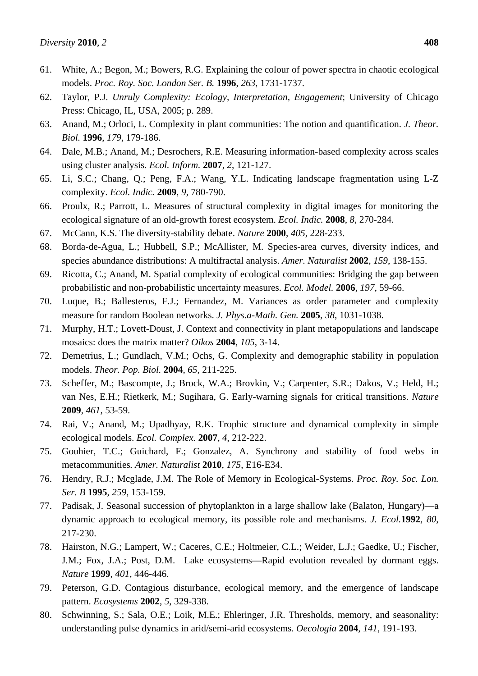- 61. White, A.; Begon, M.; Bowers, R.G. Explaining the colour of power spectra in chaotic ecological models. *Proc. Roy. Soc. London Ser. B.* **1996**, *263*, 1731-1737.
- 62. Taylor, P.J. *Unruly Complexity: Ecology, Interpretation, Engagement*; University of Chicago Press: Chicago, IL, USA, 2005; p. 289.
- 63. Anand, M.; Orloci, L. Complexity in plant communities: The notion and quantification. *J. Theor. Biol.* **1996**, *179*, 179-186.
- 64. Dale, M.B.; Anand, M.; Desrochers, R.E. Measuring information-based complexity across scales using cluster analysis. *Ecol. Inform.* **2007**, *2*, 121-127.
- 65. Li, S.C.; Chang, Q.; Peng, F.A.; Wang, Y.L. Indicating landscape fragmentation using L-Z complexity. *Ecol. Indic.* **2009**, *9*, 780-790.
- 66. Proulx, R.; Parrott, L. Measures of structural complexity in digital images for monitoring the ecological signature of an old-growth forest ecosystem. *Ecol. Indic.* **2008**, *8*, 270-284.
- 67. McCann, K.S. The diversity-stability debate. *Nature* **2000**, *405*, 228-233.
- 68. Borda-de-Agua, L.; Hubbell, S.P.; McAllister, M. Species-area curves, diversity indices, and species abundance distributions: A multifractal analysis. *Amer. Naturalist* **2002**, *159*, 138-155.
- 69. Ricotta, C.; Anand, M. Spatial complexity of ecological communities: Bridging the gap between probabilistic and non-probabilistic uncertainty measures. *Ecol. Model.* **2006**, *197*, 59-66.
- 70. Luque, B.; Ballesteros, F.J.; Fernandez, M. Variances as order parameter and complexity measure for random Boolean networks. *J. Phys.a-Math. Gen.* **2005**, *38*, 1031-1038.
- 71. Murphy, H.T.; Lovett-Doust, J. Context and connectivity in plant metapopulations and landscape mosaics: does the matrix matter? *Oikos* **2004**, *105*, 3-14.
- 72. Demetrius, L.; Gundlach, V.M.; Ochs, G. Complexity and demographic stability in population models. *Theor. Pop. Biol.* **2004**, *65*, 211-225.
- 73. Scheffer, M.; Bascompte, J.; Brock, W.A.; Brovkin, V.; Carpenter, S.R.; Dakos, V.; Held, H.; van Nes, E.H.; Rietkerk, M.; Sugihara, G. Early-warning signals for critical transitions. *Nature*  **2009**, *461*, 53-59.
- 74. Rai, V.; Anand, M.; Upadhyay, R.K. Trophic structure and dynamical complexity in simple ecological models. *Ecol. Complex.* **2007**, *4*, 212-222.
- 75. Gouhier, T.C.; Guichard, F.; Gonzalez, A. Synchrony and stability of food webs in metacommunities*. Amer. Naturalist* **2010**, *175*, E16-E34.
- 76. Hendry, R.J.; Mcglade, J.M. The Role of Memory in Ecological-Systems. *Proc. Roy. Soc. Lon. Ser. B* **1995**, *259*, 153-159.
- 77. Padisak, J. Seasonal succession of phytoplankton in a large shallow lake (Balaton, Hungary)—a dynamic approach to ecological memory, its possible role and mechanisms. *J. Ecol.***1992**, *80*, 217-230.
- 78. Hairston, N.G.; Lampert, W.; Caceres, C.E.; Holtmeier, C.L.; Weider, L.J.; Gaedke, U.; Fischer, J.M.; Fox, J.A.; Post, D.M. Lake ecosystems—Rapid evolution revealed by dormant eggs. *Nature* **1999**, *401*, 446-446.
- 79. Peterson, G.D. Contagious disturbance, ecological memory, and the emergence of landscape pattern. *Ecosystems* **2002**, *5*, 329-338.
- 80. Schwinning, S.; Sala, O.E.; Loik, M.E.; Ehleringer, J.R. Thresholds, memory, and seasonality: understanding pulse dynamics in arid/semi-arid ecosystems. *Oecologia* **2004**, *141*, 191-193.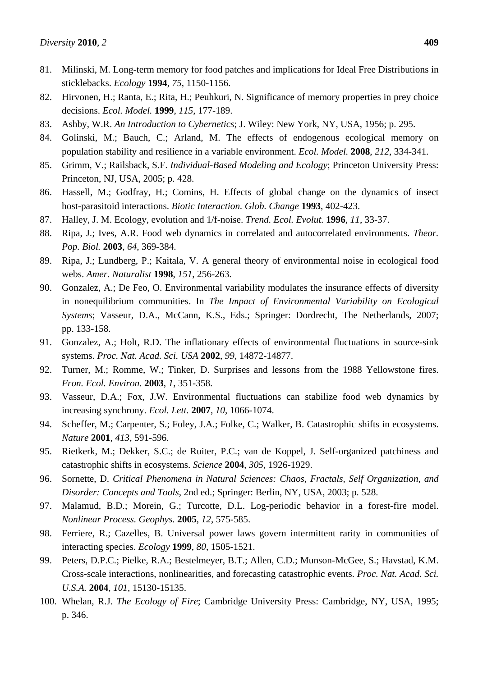- 81. Milinski, M. Long-term memory for food patches and implications for Ideal Free Distributions in sticklebacks. *Ecology* **1994**, *75*, 1150-1156.
- 82. Hirvonen, H.; Ranta, E.; Rita, H.; Peuhkuri, N. Significance of memory properties in prey choice decisions. *Ecol. Model.* **1999**, *115*, 177-189.
- 83. Ashby, W.R. *An Introduction to Cybernetics*; J. Wiley: New York, NY, USA, 1956; p. 295.
- 84. Golinski, M.; Bauch, C.; Arland, M. The effects of endogenous ecological memory on population stability and resilience in a variable environment. *Ecol. Model.* **2008**, *212*, 334-341.
- 85. Grimm, V.; Railsback, S.F. *Individual-Based Modeling and Ecology*; Princeton University Press: Princeton, NJ, USA, 2005; p. 428.
- 86. Hassell, M.; Godfray, H.; Comins, H. Effects of global change on the dynamics of insect host-parasitoid interactions. *Biotic Interaction. Glob. Change* **1993**, 402-423.
- 87. Halley, J. M. Ecology, evolution and 1/f-noise. *Trend. Ecol. Evolut.* **1996**, *11*, 33-37.
- 88. Ripa, J.; Ives, A.R. Food web dynamics in correlated and autocorrelated environments. *Theor. Pop. Biol.* **2003**, *64*, 369-384.
- 89. Ripa, J.; Lundberg, P.; Kaitala, V. A general theory of environmental noise in ecological food webs. *Amer. Naturalist* **1998**, *151*, 256-263.
- 90. Gonzalez, A.; De Feo, O. Environmental variability modulates the insurance effects of diversity in nonequilibrium communities. In *The Impact of Environmental Variability on Ecological Systems*; Vasseur, D.A., McCann, K.S., Eds.; Springer: Dordrecht, The Netherlands, 2007; pp. 133-158.
- 91. Gonzalez, A.; Holt, R.D. The inflationary effects of environmental fluctuations in source-sink systems. *Proc. Nat. Acad. Sci. USA* **2002**, *99*, 14872-14877.
- 92. Turner, M.; Romme, W.; Tinker, D. Surprises and lessons from the 1988 Yellowstone fires. *Fron. Ecol. Environ.* **2003**, *1*, 351-358.
- 93. Vasseur, D.A.; Fox, J.W. Environmental fluctuations can stabilize food web dynamics by increasing synchrony. *Ecol. Lett.* **2007**, *10*, 1066-1074.
- 94. Scheffer, M.; Carpenter, S.; Foley, J.A.; Folke, C.; Walker, B. Catastrophic shifts in ecosystems. *Nature* **2001**, *413*, 591-596.
- 95. Rietkerk, M.; Dekker, S.C.; de Ruiter, P.C.; van de Koppel, J. Self-organized patchiness and catastrophic shifts in ecosystems. *Science* **2004**, *305*, 1926-1929.
- 96. Sornette, D. *Critical Phenomena in Natural Sciences: Chaos, Fractals, Self Organization, and Disorder: Concepts and Tools*, 2nd ed.; Springer: Berlin, NY, USA, 2003; p. 528.
- 97. Malamud, B.D.; Morein, G.; Turcotte, D.L. Log-periodic behavior in a forest-fire model. *Nonlinear Process. Geophys.* **2005**, *12*, 575-585.
- 98. Ferriere, R.; Cazelles, B. Universal power laws govern intermittent rarity in communities of interacting species. *Ecology* **1999**, *80*, 1505-1521.
- 99. Peters, D.P.C.; Pielke, R.A.; Bestelmeyer, B.T.; Allen, C.D.; Munson-McGee, S.; Havstad, K.M. Cross-scale interactions, nonlinearities, and forecasting catastrophic events. *Proc. Nat. Acad. Sci. U.S.A.* **2004**, *101*, 15130-15135.
- 100. Whelan, R.J. *The Ecology of Fire*; Cambridge University Press: Cambridge, NY, USA, 1995; p. 346.